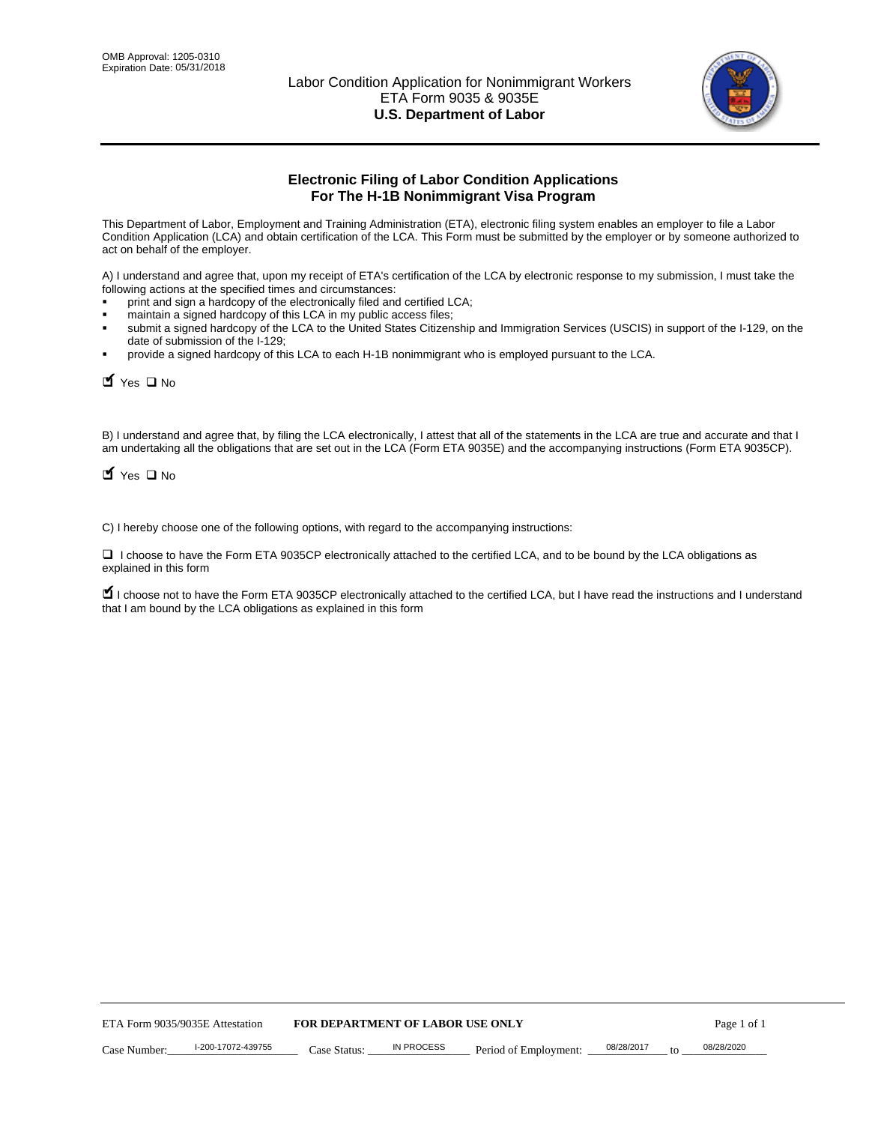

# **Electronic Filing of Labor Condition Applications For The H-1B Nonimmigrant Visa Program**

This Department of Labor, Employment and Training Administration (ETA), electronic filing system enables an employer to file a Labor Condition Application (LCA) and obtain certification of the LCA. This Form must be submitted by the employer or by someone authorized to act on behalf of the employer.

A) I understand and agree that, upon my receipt of ETA's certification of the LCA by electronic response to my submission, I must take the following actions at the specified times and circumstances:

- print and sign a hardcopy of the electronically filed and certified LCA;
- maintain a signed hardcopy of this LCA in my public access files;
- submit a signed hardcopy of the LCA to the United States Citizenship and Immigration Services (USCIS) in support of the I-129, on the date of submission of the I-129;
- provide a signed hardcopy of this LCA to each H-1B nonimmigrant who is employed pursuant to the LCA.

| Yes O No                                                                                                                                                                                                                                                                                                              |                                  |                   |                       |            |                  |
|-----------------------------------------------------------------------------------------------------------------------------------------------------------------------------------------------------------------------------------------------------------------------------------------------------------------------|----------------------------------|-------------------|-----------------------|------------|------------------|
| B) I understand and agree that, by filing the LCA electronically, I attest that all of the statements in the LCA are true and accurate and th<br>am undertaking all the obligations that are set out in the LCA (Form ETA 9035E) and the accompanying instructions (Form ETA 9035C<br>$\blacksquare$ Yes $\square$ No |                                  |                   |                       |            |                  |
| C) I hereby choose one of the following options, with regard to the accompanying instructions:                                                                                                                                                                                                                        |                                  |                   |                       |            |                  |
| □ I choose to have the Form ETA 9035CP electronically attached to the certified LCA, and to be bound by the LCA obligations as<br>explained in this form                                                                                                                                                              |                                  |                   |                       |            |                  |
| I choose not to have the Form ETA 9035CP electronically attached to the certified LCA, but I have read the instructions and I unders<br>that I am bound by the LCA obligations as explained in this form                                                                                                              |                                  |                   |                       |            |                  |
|                                                                                                                                                                                                                                                                                                                       |                                  |                   |                       |            |                  |
|                                                                                                                                                                                                                                                                                                                       |                                  |                   |                       |            |                  |
|                                                                                                                                                                                                                                                                                                                       |                                  |                   |                       |            |                  |
|                                                                                                                                                                                                                                                                                                                       |                                  |                   |                       |            |                  |
|                                                                                                                                                                                                                                                                                                                       |                                  |                   |                       |            |                  |
|                                                                                                                                                                                                                                                                                                                       |                                  |                   |                       |            |                  |
|                                                                                                                                                                                                                                                                                                                       |                                  |                   |                       |            |                  |
|                                                                                                                                                                                                                                                                                                                       |                                  |                   |                       |            |                  |
|                                                                                                                                                                                                                                                                                                                       |                                  |                   |                       |            |                  |
|                                                                                                                                                                                                                                                                                                                       |                                  |                   |                       |            |                  |
| ETA Form 9035/9035E Attestation                                                                                                                                                                                                                                                                                       | FOR DEPARTMENT OF LABOR USE ONLY |                   |                       |            | Page 1 of 1      |
| I-200-17072-439755<br>Case Number:                                                                                                                                                                                                                                                                                    | Case Status:                     | <b>IN PROCESS</b> | Period of Employment: | 08/28/2017 | 08/28/2020<br>to |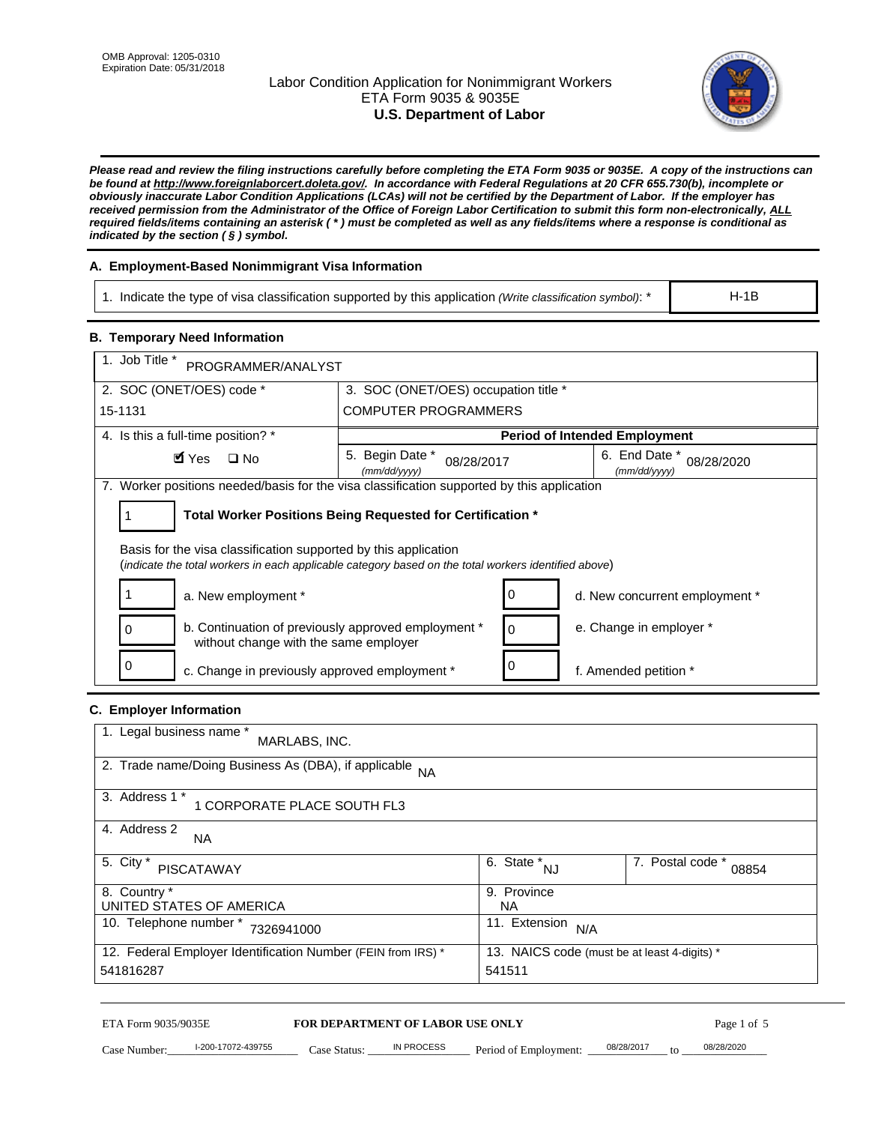# Labor Condition Application for Nonimmigrant Workers ETA Form 9035 & 9035E **U.S. Department of Labor**



*Please read and review the filing instructions carefully before completing the ETA Form 9035 or 9035E. A copy of the instructions can be found at http://www.foreignlaborcert.doleta.gov/. In accordance with Federal Regulations at 20 CFR 655.730(b), incomplete or obviously inaccurate Labor Condition Applications (LCAs) will not be certified by the Department of Labor. If the employer has received permission from the Administrator of the Office of Foreign Labor Certification to submit this form non-electronically, ALL required fields/items containing an asterisk ( \* ) must be completed as well as any fields/items where a response is conditional as indicated by the section ( § ) symbol.* 

# **A. Employment-Based Nonimmigrant Visa Information**

1. Indicate the type of visa classification supported by this application *(Write classification symbol)*: \*

# **B. Temporary Need Information**

| 1. Indicate the type of visa classification supported by this application (Write classification symbol): *                                                              |                                      |                                                 |                                      | $H-1B$                    |
|-------------------------------------------------------------------------------------------------------------------------------------------------------------------------|--------------------------------------|-------------------------------------------------|--------------------------------------|---------------------------|
| <b>B. Temporary Need Information</b>                                                                                                                                    |                                      |                                                 |                                      |                           |
| 1. Job Title *<br>PROGRAMMER/ANALYST                                                                                                                                    |                                      |                                                 |                                      |                           |
| 2. SOC (ONET/OES) code *                                                                                                                                                | 3. SOC (ONET/OES) occupation title * |                                                 |                                      |                           |
| 15-1131                                                                                                                                                                 | <b>COMPUTER PROGRAMMERS</b>          |                                                 |                                      |                           |
| 4. Is this a full-time position? *                                                                                                                                      |                                      |                                                 | <b>Period of Intended Employment</b> |                           |
| $\blacksquare$ Yes<br>$\square$ No                                                                                                                                      | 5. Begin Date *<br>(mm/dd/yyyy)      | 08/28/2017                                      | 6. End Date *<br>(mm/dd/yyyy)        | 08/28/2020                |
| 7. Worker positions needed/basis for the visa classification supported by this application                                                                              |                                      |                                                 |                                      |                           |
| Total Worker Positions Being Requested for Certification *<br>1                                                                                                         |                                      |                                                 |                                      |                           |
| Basis for the visa classification supported by this application<br>(indicate the total workers in each applicable category based on the total workers identified above) |                                      |                                                 |                                      |                           |
| 1<br>a. New employment *                                                                                                                                                |                                      | 0                                               | d. New concurrent employment *       |                           |
| b. Continuation of previously approved employment *<br>0<br>without change with the same employer                                                                       | 0                                    | e. Change in employer *                         |                                      |                           |
| 0<br>c. Change in previously approved employment *                                                                                                                      | 0                                    | f. Amended petition *                           |                                      |                           |
| C. Employer Information                                                                                                                                                 |                                      |                                                 |                                      |                           |
| 1. Legal business name *<br>MARLABS, INC.                                                                                                                               |                                      |                                                 |                                      |                           |
| 2. Trade name/Doing Business As (DBA), if applicable NA                                                                                                                 |                                      |                                                 |                                      |                           |
| 3. Address 1 *<br>1 CORPORATE PLACE SOUTH FL3                                                                                                                           |                                      |                                                 |                                      |                           |
| 4. Address 2<br>NA.                                                                                                                                                     |                                      |                                                 |                                      |                           |
| 5. City *<br><b>PISCATAWAY</b>                                                                                                                                          |                                      | $\overline{6. \quad \text{State}}^*_{\quad NJ}$ |                                      | 7. Postal code *<br>08854 |
| 8. Country *<br>UNITED STATES OF AMERICA                                                                                                                                |                                      | 9. Province<br><b>NA</b>                        |                                      |                           |
| 10. Telephone number * 7326941000<br>11. Extension $N/A$                                                                                                                |                                      |                                                 |                                      |                           |
| 12. Federal Employer Identification Number (FEIN from IRS) *<br>13. NAICS code (must be at least 4-digits) *<br>541816287<br>541511                                     |                                      |                                                 |                                      |                           |
| ETA Form 9035/9035E                                                                                                                                                     | FOR DEPARTMENT OF LABOR USE ONLY     |                                                 |                                      | Page 1 of 5               |
| I-200-17072-439755<br>Case Number:<br>$Case$ Statue                                                                                                                     | IN PROCESS                           | Period of Employment:                           | 08/28/2017                           | 08/28/2020                |

# **C. Employer Information**

| 1. Legal business name *<br>MARLABS, INC.                                                                    |                         |                           |  |  |
|--------------------------------------------------------------------------------------------------------------|-------------------------|---------------------------|--|--|
| 2. Trade name/Doing Business As (DBA), if applicable NA                                                      |                         |                           |  |  |
| 3. Address 1 *<br>1 CORPORATE PLACE SOUTH FL3                                                                |                         |                           |  |  |
| 4. Address 2<br><b>NA</b>                                                                                    |                         |                           |  |  |
| 5. City *<br><b>PISCATAWAY</b>                                                                               | 6. State *<br><b>NJ</b> | 7. Postal code *<br>08854 |  |  |
| 8. Country *                                                                                                 | 9. Province             |                           |  |  |
| UNITED STATES OF AMERICA                                                                                     | NA                      |                           |  |  |
| 10. Telephone number *<br>7326941000                                                                         | 11. Extension<br>N/A    |                           |  |  |
| 12. Federal Employer Identification Number (FEIN from IRS) *<br>13. NAICS code (must be at least 4-digits) * |                         |                           |  |  |
| 541816287                                                                                                    | 541511                  |                           |  |  |

# ETA Form 9035/9035E **FOR DEPARTMENT OF LABOR USE ONLY** Page 1 of 5<br>Case Number: 1-200-17072-439755 Case Status: IN PROCESS Period of Employment: 08/28/2017 to 08/28/2020

Case Number: 1-200-17072-439755 Case Status: IN PROCESS Period of Employment: 08/28/2017 to 08/28/2020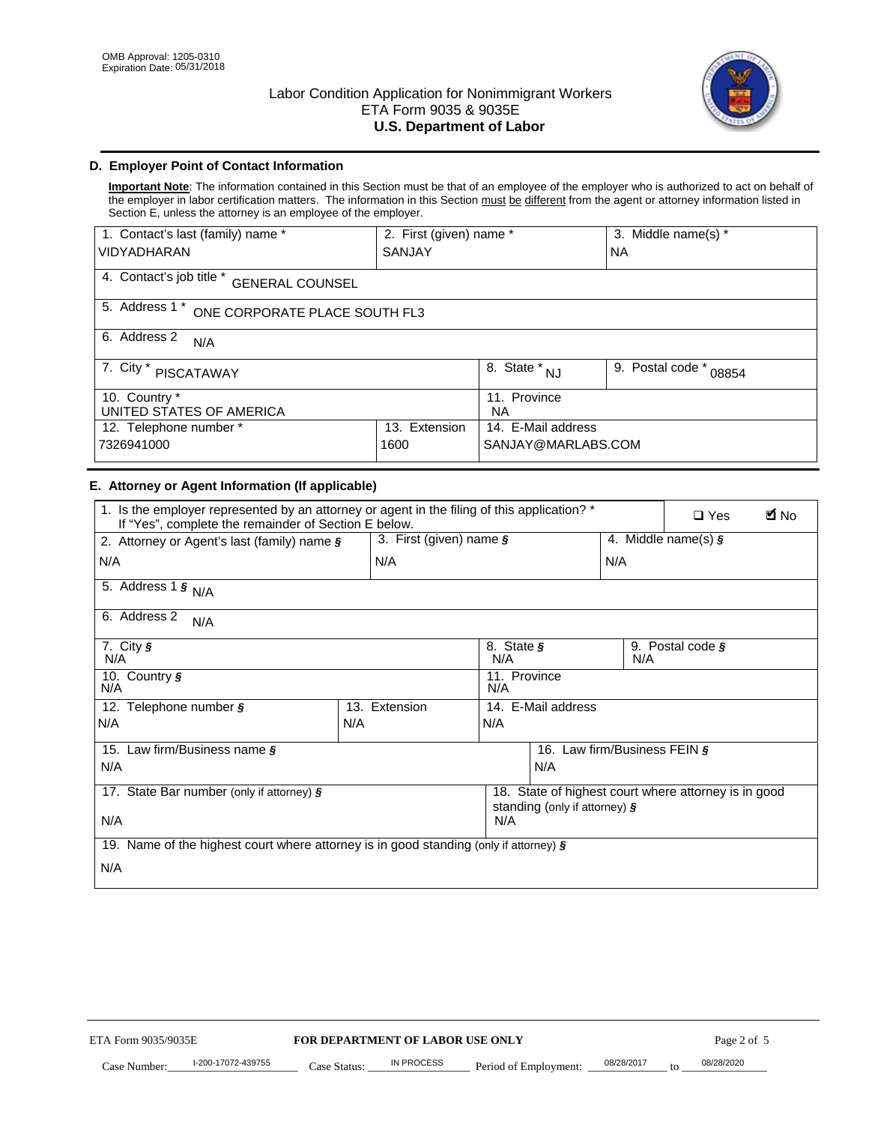

# **D. Employer Point of Contact Information**

**Important Note**: The information contained in this Section must be that of an employee of the employer who is authorized to act on behalf of the employer in labor certification matters. The information in this Section must be different from the agent or attorney information listed in Section E, unless the attorney is an employee of the employer.

| 1. Contact's last (family) name *                  | 2. First (given) name *        |                           | 3. Middle name(s) * |  |  |
|----------------------------------------------------|--------------------------------|---------------------------|---------------------|--|--|
| <b>VIDYADHARAN</b>                                 | <b>SANJAY</b>                  |                           | <b>NA</b>           |  |  |
| 4. Contact's job title *<br><b>GENERAL COUNSEL</b> |                                |                           |                     |  |  |
| 5. Address 1 *<br>ONE CORPORATE PLACE SOUTH FL3    |                                |                           |                     |  |  |
| 6. Address 2<br>N/A                                |                                |                           |                     |  |  |
| 7. City $*$<br>PISCATAWAY                          | $\overline{8}$ . State *<br>NJ | 9. Postal code *<br>08854 |                     |  |  |
| 10. Country *<br>UNITED STATES OF AMERICA          | 11. Province<br><b>NA</b>      |                           |                     |  |  |
| Extension<br>12. Telephone number *<br>13.         |                                | 14. E-Mail address        |                     |  |  |
| 7326941000<br>1600                                 |                                | SANJAY@MARLABS.COM        |                     |  |  |

# **E. Attorney or Agent Information (If applicable)**

| VIDYADHARAN                                                                                                                                         | SANJAY                           |                                              |                                          | <b>NA</b>        |                                                      |             |
|-----------------------------------------------------------------------------------------------------------------------------------------------------|----------------------------------|----------------------------------------------|------------------------------------------|------------------|------------------------------------------------------|-------------|
| 4. Contact's job title * GENERAL COUNSEL                                                                                                            |                                  |                                              |                                          |                  |                                                      |             |
| 5. Address 1 * ONE CORPORATE PLACE SOUTH FL3                                                                                                        |                                  |                                              |                                          |                  |                                                      |             |
| 6. Address 2<br>N/A                                                                                                                                 |                                  |                                              |                                          |                  |                                                      |             |
| 7. City * PISCATAWAY                                                                                                                                |                                  |                                              |                                          | 9. Postal code * | 08854                                                |             |
| 10. Country *<br>UNITED STATES OF AMERICA                                                                                                           |                                  | 11. Province<br>NA                           |                                          |                  |                                                      |             |
| 12. Telephone number *<br>7326941000                                                                                                                | 13. Extension<br>1600            |                                              | 14. E-Mail address<br>SANJAY@MARLABS.COM |                  |                                                      |             |
| E. Attorney or Agent Information (If applicable)                                                                                                    |                                  |                                              |                                          |                  |                                                      |             |
| 1. Is the employer represented by an attorney or agent in the filing of this application? *<br>If "Yes", complete the remainder of Section E below. |                                  |                                              |                                          |                  | $\Box$ Yes                                           | <b>M</b> No |
| 2. Attorney or Agent's last (family) name §                                                                                                         | 3. First (given) name §          |                                              |                                          |                  | 4. Middle name(s) $\sqrt{s}$                         |             |
| N/A                                                                                                                                                 | N/A                              |                                              |                                          | N/A              |                                                      |             |
| 5. Address 1 $\frac{1}{9}$ N/A                                                                                                                      |                                  |                                              |                                          |                  |                                                      |             |
| 6. Address 2<br>N/A                                                                                                                                 |                                  |                                              |                                          |                  |                                                      |             |
| 7. City §<br>N/A                                                                                                                                    |                                  | 8. State §<br>9. Postal code §<br>N/A<br>N/A |                                          |                  |                                                      |             |
| 10. Country §<br>N/A                                                                                                                                |                                  | 11. Province<br>N/A                          |                                          |                  |                                                      |             |
| 12. Telephone number §                                                                                                                              | 13. Extension                    | 14. E-Mail address                           |                                          |                  |                                                      |             |
| N/A                                                                                                                                                 | N/A                              | N/A                                          |                                          |                  |                                                      |             |
| 15. Law firm/Business name §                                                                                                                        |                                  |                                              | 16. Law firm/Business FEIN §             |                  |                                                      |             |
| N/A                                                                                                                                                 |                                  |                                              | N/A                                      |                  |                                                      |             |
| 17. State Bar number (only if attorney) §                                                                                                           |                                  |                                              | standing (only if attorney) §            |                  | 18. State of highest court where attorney is in good |             |
| N/A                                                                                                                                                 |                                  | N/A                                          |                                          |                  |                                                      |             |
| 19. Name of the highest court where attorney is in good standing (only if attorney) §                                                               |                                  |                                              |                                          |                  |                                                      |             |
| N/A                                                                                                                                                 |                                  |                                              |                                          |                  |                                                      |             |
|                                                                                                                                                     |                                  |                                              |                                          |                  |                                                      |             |
|                                                                                                                                                     |                                  |                                              |                                          |                  |                                                      |             |
|                                                                                                                                                     |                                  |                                              |                                          |                  |                                                      |             |
|                                                                                                                                                     |                                  |                                              |                                          |                  |                                                      |             |
|                                                                                                                                                     |                                  |                                              |                                          |                  |                                                      |             |
|                                                                                                                                                     |                                  |                                              |                                          |                  |                                                      |             |
|                                                                                                                                                     |                                  |                                              |                                          |                  |                                                      |             |
| ETA Form 9035/9035E                                                                                                                                 | FOR DEPARTMENT OF LABOR USE ONLY |                                              |                                          |                  | Page 2 of 5                                          |             |
| I-200-17072-439755                                                                                                                                  | IN PROCESS                       |                                              |                                          | 08/28/2017       | 08/28/2020                                           |             |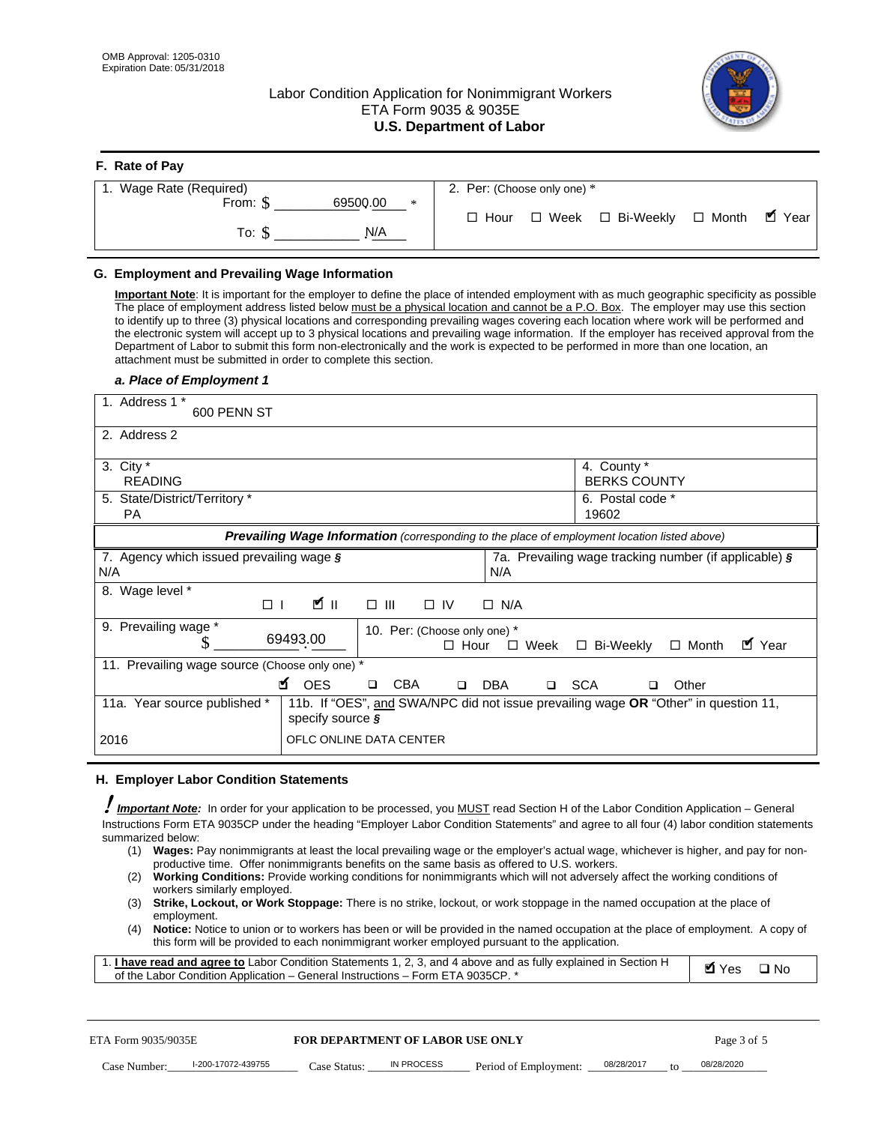**F. Rate of Pay** 

# Labor Condition Application for Nonimmigrant Workers ETA Form 9035 & 9035E **U.S. Department of Labor**



| <b>F.</b> Rate of Pay          |                                                     |
|--------------------------------|-----------------------------------------------------|
| 1. Wage Rate (Required)        | 2. Per: (Choose only one) *                         |
| 69500.00<br>From: \$<br>$\ast$ |                                                     |
| N/A<br>To: S                   | √ Year<br>□ Week □ Bi-Weekly □ Month<br>$\Box$ Hour |

## **G. Employment and Prevailing Wage Information**

#### *a. Place of Employment 1*

| From: \$<br>69500.00<br>$\Box$ Month<br>$\Box$ Hour<br>$\Box$ Week $\Box$ Bi-Weekly<br>To: $\S$<br>N/A                                                                                                                                                                                                                                                                                                                                                                                                                                                                                                                                                                                                                                                                                                                                                                                                                                                                                                                                                                                                                                                                                                                                                                                                                                                                                        | $\blacksquare$ Year |
|-----------------------------------------------------------------------------------------------------------------------------------------------------------------------------------------------------------------------------------------------------------------------------------------------------------------------------------------------------------------------------------------------------------------------------------------------------------------------------------------------------------------------------------------------------------------------------------------------------------------------------------------------------------------------------------------------------------------------------------------------------------------------------------------------------------------------------------------------------------------------------------------------------------------------------------------------------------------------------------------------------------------------------------------------------------------------------------------------------------------------------------------------------------------------------------------------------------------------------------------------------------------------------------------------------------------------------------------------------------------------------------------------|---------------------|
| G. Employment and Prevailing Wage Information<br>Important Note: It is important for the employer to define the place of intended employment with as much geographic specificity as possible<br>The place of employment address listed below must be a physical location and cannot be a P.O. Box. The employer may use this section<br>to identify up to three (3) physical locations and corresponding prevailing wages covering each location where work will be performed and<br>the electronic system will accept up to 3 physical locations and prevailing wage information. If the employer has received approval from the<br>Department of Labor to submit this form non-electronically and the work is expected to be performed in more than one location, an<br>attachment must be submitted in order to complete this section.<br>a. Place of Employment 1                                                                                                                                                                                                                                                                                                                                                                                                                                                                                                                         |                     |
| 1. Address 1 *<br>600 PENN ST<br>2. Address 2                                                                                                                                                                                                                                                                                                                                                                                                                                                                                                                                                                                                                                                                                                                                                                                                                                                                                                                                                                                                                                                                                                                                                                                                                                                                                                                                                 |                     |
| 3. City $*$<br>4. County *<br><b>BERKS COUNTY</b><br><b>READING</b><br>5. State/District/Territory *<br>6. Postal code *<br>19602<br>PA                                                                                                                                                                                                                                                                                                                                                                                                                                                                                                                                                                                                                                                                                                                                                                                                                                                                                                                                                                                                                                                                                                                                                                                                                                                       |                     |
| Prevailing Wage Information (corresponding to the place of employment location listed above)<br>7. Agency which issued prevailing wage §<br>7a. Prevailing wage tracking number (if applicable) §<br>N/A<br>N/A                                                                                                                                                                                                                                                                                                                                                                                                                                                                                                                                                                                                                                                                                                                                                                                                                                                                                                                                                                                                                                                                                                                                                                               |                     |
| 8. Wage level *<br>$\mathbf{K}$ II<br>$\Box$<br>$\Box$<br>III<br>$\Box$ IV<br>$\Box$ N/A<br>9. Prevailing wage *<br>10. Per: (Choose only one) *<br>69493.00<br>S<br>□ Bi-Weekly<br>$\Box$ Hour<br>$\Box$ Week<br>$\Box$ Month                                                                                                                                                                                                                                                                                                                                                                                                                                                                                                                                                                                                                                                                                                                                                                                                                                                                                                                                                                                                                                                                                                                                                                | ■ Year              |
| 11. Prevailing wage source (Choose only one) *<br><b>¤</b> OES<br><b>CBA</b><br>□ SCA<br>DBA<br>Other<br>$\Box$<br>$\Box$<br>□<br>11a. Year source published *<br>11b. If "OES", and SWA/NPC did not issue prevailing wage OR "Other" in question 11,<br>specify source $\boldsymbol{\S}$                                                                                                                                                                                                                                                                                                                                                                                                                                                                                                                                                                                                                                                                                                                                                                                                                                                                                                                                                                                                                                                                                                     |                     |
| 2016<br>OFLC ONLINE DATA CENTER                                                                                                                                                                                                                                                                                                                                                                                                                                                                                                                                                                                                                                                                                                                                                                                                                                                                                                                                                                                                                                                                                                                                                                                                                                                                                                                                                               |                     |
| H. Employer Labor Condition Statements<br>Important Note: In order for your application to be processed, you MUST read Section H of the Labor Condition Application - General<br>Instructions Form ETA 9035CP under the heading "Employer Labor Condition Statements" and agree to all four (4) labor condition statements<br>summarized below:<br>Wages: Pay nonimmigrants at least the local prevailing wage or the employer's actual wage, whichever is higher, and pay for non-<br>(1)<br>productive time. Offer nonimmigrants benefits on the same basis as offered to U.S. workers.<br><b>Working Conditions:</b> Provide working conditions for nonimmigrants which will not adversely affect the working conditions of<br>(2)<br>workers similarly employed.<br>Strike, Lockout, or Work Stoppage: There is no strike, lockout, or work stoppage in the named occupation at the place of<br>(3)<br>employment.<br>Notice: Notice to union or to workers has been or will be provided in the named occupation at the place of employment. A copy of<br>(4)<br>this form will be provided to each nonimmigrant worker employed pursuant to the application.<br>1. <i>I have read and agree to</i> Labor Condition Statements 1, 2, 3, and 4 above and as fully explained in Section H<br><b>Ø</b> Yes<br>of the Labor Condition Application - General Instructions - Form ETA 9035CP. * | $\square$ No        |
| ETA Form 9035/9035E<br>Page 3 of 5<br><b>FOR DEPARTMENT OF LABOR USE ONLY</b><br>I-200-17072-439755<br>08/28/2017<br>08/28/2020<br>IN PROCESS                                                                                                                                                                                                                                                                                                                                                                                                                                                                                                                                                                                                                                                                                                                                                                                                                                                                                                                                                                                                                                                                                                                                                                                                                                                 |                     |

#### **H. Employer Labor Condition Statements**

- (1) **Wages:** Pay nonimmigrants at least the local prevailing wage or the employer's actual wage, whichever is higher, and pay for nonproductive time. Offer nonimmigrants benefits on the same basis as offered to U.S. workers.
- (2) **Working Conditions:** Provide working conditions for nonimmigrants which will not adversely affect the working conditions of workers similarly employed.
- (3) **Strike, Lockout, or Work Stoppage:** There is no strike, lockout, or work stoppage in the named occupation at the place of employment.
- (4) **Notice:** Notice to union or to workers has been or will be provided in the named occupation at the place of employment. A copy of this form will be provided to each nonimmigrant worker employed pursuant to the application.

| 1. I have read and agree to Labor Condition Statements 1, 2, 3, and 4 above and as fully explained in Section H | Myes ⊡No |  |
|-----------------------------------------------------------------------------------------------------------------|----------|--|
| of the Labor Condition Application – General Instructions – Form ETA 9035CP. *                                  |          |  |

| ETA Form 9035/9035E |                    |              | <b>FOR DEPARTMENT OF LABOR USE ONLY</b> |                                      |  |     | Page 3 of 5 |
|---------------------|--------------------|--------------|-----------------------------------------|--------------------------------------|--|-----|-------------|
| Case Number:        | l-200-17072-439755 | Case Status: | IN PROCESS                              | Period of Employment: ____08/28/2017 |  | to. | 08/28/2020  |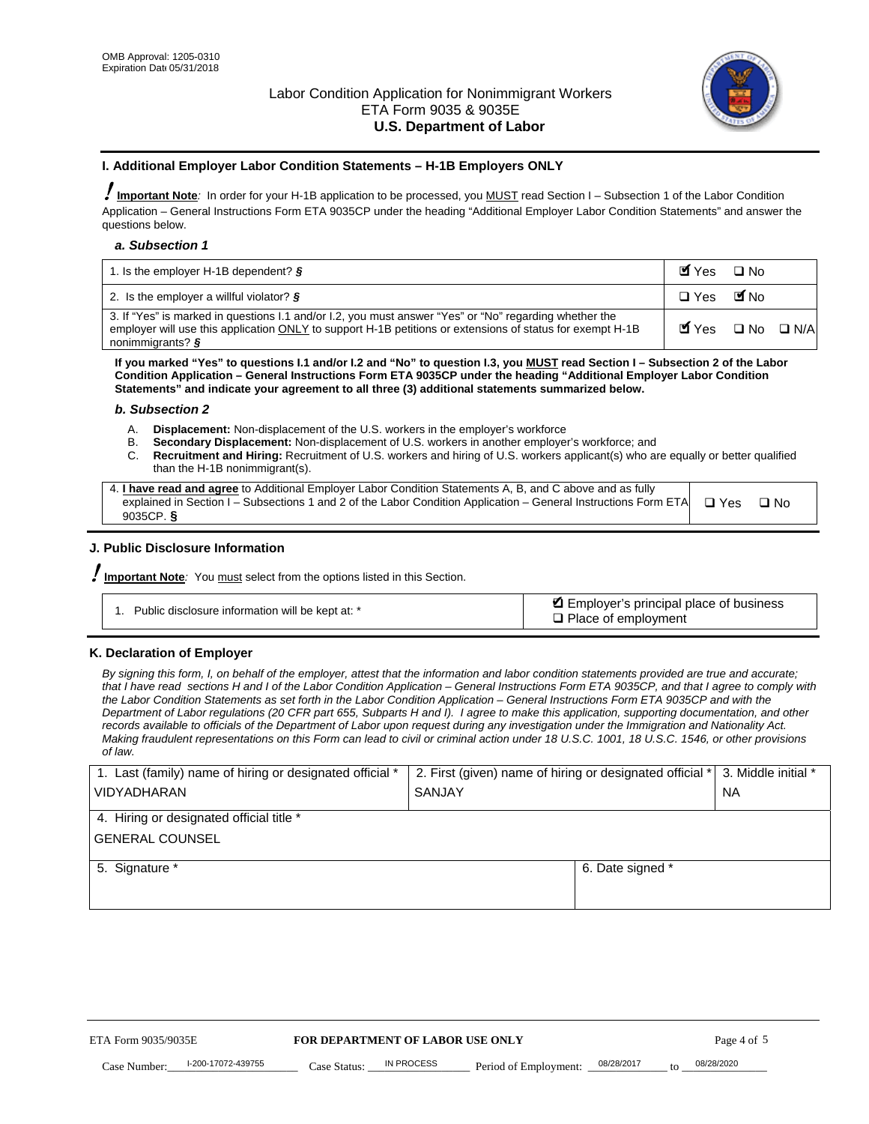

#### **I. Additional Employer Labor Condition Statements – H-1B Employers ONLY**

!**Important Note***:* In order for your H-1B application to be processed, you MUST read Section I – Subsection 1 of the Labor Condition Application – General Instructions Form ETA 9035CP under the heading "Additional Employer Labor Condition Statements" and answer the questions below.

#### *a. Subsection 1*

| 1. Is the employer H-1B dependent? $\S$                                                                                                                                                                                                 | Myes □ No                                     |  |
|-----------------------------------------------------------------------------------------------------------------------------------------------------------------------------------------------------------------------------------------|-----------------------------------------------|--|
| 2. Is the employer a willful violator? $\frac{1}{2}$                                                                                                                                                                                    | □ Yes ■No                                     |  |
| 3. If "Yes" is marked in questions I.1 and/or I.2, you must answer "Yes" or "No" regarding whether the<br>employer will use this application ONLY to support H-1B petitions or extensions of status for exempt H-1B<br>nonimmigrants? § | $\blacksquare$ Yes $\square$ No $\square$ N/A |  |

**If you marked "Yes" to questions I.1 and/or I.2 and "No" to question I.3, you MUST read Section I – Subsection 2 of the Labor Condition Application – General Instructions Form ETA 9035CP under the heading "Additional Employer Labor Condition Statements" and indicate your agreement to all three (3) additional statements summarized below.** 

#### *b. Subsection 2*

- A. **Displacement:** Non-displacement of the U.S. workers in the employer's workforce
- B. **Secondary Displacement:** Non-displacement of U.S. workers in another employer's workforce; and
- C. **Recruitment and Hiring:** Recruitment of U.S. workers and hiring of U.S. workers applicant(s) who are equally or better qualified than the H-1B nonimmigrant(s).

| 4. I have read and agree to Additional Employer Labor Condition Statements A, B, and C above and as fully                  |      |
|----------------------------------------------------------------------------------------------------------------------------|------|
| explained in Section I – Subsections 1 and 2 of the Labor Condition Application – General Instructions Form ETA $\Box$ Yes | ∩ N∩ |
| 9035CP. $\delta$                                                                                                           |      |

# **J. Public Disclosure Information**

!**Important Note***:* You must select from the options listed in this Section.

| Public disclosure information will be kept at: * | Employer's principal place of business<br>$\Box$ Place of employment |
|--------------------------------------------------|----------------------------------------------------------------------|
|--------------------------------------------------|----------------------------------------------------------------------|

#### **K. Declaration of Employer**

*By signing this form, I, on behalf of the employer, attest that the information and labor condition statements provided are true and accurate;*  that I have read sections H and I of the Labor Condition Application – General Instructions Form ETA 9035CP, and that I agree to comply with *the Labor Condition Statements as set forth in the Labor Condition Application – General Instructions Form ETA 9035CP and with the Department of Labor regulations (20 CFR part 655, Subparts H and I). I agree to make this application, supporting documentation, and other records available to officials of the Department of Labor upon request during any investigation under the Immigration and Nationality Act. Making fraudulent representations on this Form can lead to civil or criminal action under 18 U.S.C. 1001, 18 U.S.C. 1546, or other provisions of law.* 

| 1. Last (family) name of hiring or designated official *               | 2. First (given) name of hiring or designated official * |                                 | 3. Middle initial * |
|------------------------------------------------------------------------|----------------------------------------------------------|---------------------------------|---------------------|
| <b>VIDYADHARAN</b>                                                     | <b>SANJAY</b>                                            |                                 | <b>NA</b>           |
| 4. Hiring or designated official title *                               |                                                          |                                 |                     |
| <b>GENERAL COUNSEL</b>                                                 |                                                          |                                 |                     |
| 5. Signature *                                                         |                                                          | 6. Date signed *                |                     |
|                                                                        |                                                          |                                 |                     |
|                                                                        |                                                          |                                 |                     |
|                                                                        |                                                          |                                 |                     |
|                                                                        |                                                          |                                 |                     |
| FOR DEPARTMENT OF LABOR USE ONLY<br>ETA Form 9035/9035E<br>Page 4 of 5 |                                                          |                                 |                     |
| I-200-17072-439755<br>Case Number<br>Case Status:                      | IN PROCESS<br>Period of Employment:                      | 08/28/2017<br>$\mathsf{t} \cap$ | 08/28/2020          |